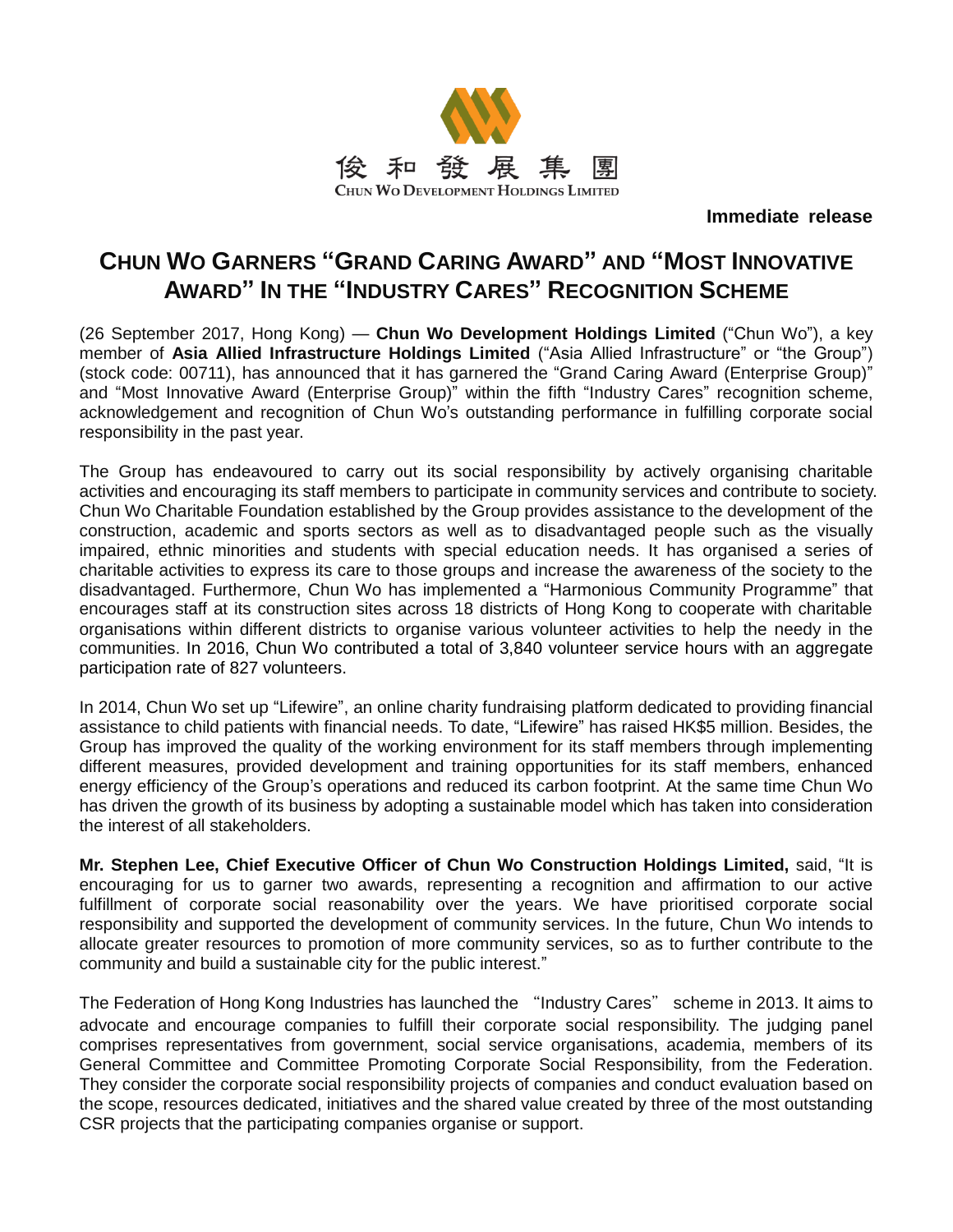

**Immediate release**

# **CHUN WO GARNERS "GRAND CARING AWARD" AND "MOST INNOVATIVE AWARD" IN THE "INDUSTRY CARES" RECOGNITION SCHEME**

(26 September 2017, Hong Kong) — **Chun Wo Development Holdings Limited** ("Chun Wo"), a key member of **Asia Allied Infrastructure Holdings Limited** ("Asia Allied Infrastructure" or "the Group") (stock code: 00711), has announced that it has garnered the "Grand Caring Award (Enterprise Group)" and "Most Innovative Award (Enterprise Group)" within the fifth "Industry Cares" recognition scheme, acknowledgement and recognition of Chun Wo's outstanding performance in fulfilling corporate social responsibility in the past year.

The Group has endeavoured to carry out its social responsibility by actively organising charitable activities and encouraging its staff members to participate in community services and contribute to society. Chun Wo Charitable Foundation established by the Group provides assistance to the development of the construction, academic and sports sectors as well as to disadvantaged people such as the visually impaired, ethnic minorities and students with special education needs. It has organised a series of charitable activities to express its care to those groups and increase the awareness of the society to the disadvantaged. Furthermore, Chun Wo has implemented a "Harmonious Community Programme" that encourages staff at its construction sites across 18 districts of Hong Kong to cooperate with charitable organisations within different districts to organise various volunteer activities to help the needy in the communities. In 2016, Chun Wo contributed a total of 3,840 volunteer service hours with an aggregate participation rate of 827 volunteers.

In 2014, Chun Wo set up "Lifewire", an online charity fundraising platform dedicated to providing financial assistance to child patients with financial needs. To date, "Lifewire" has raised HK\$5 million. Besides, the Group has improved the quality of the working environment for its staff members through implementing different measures, provided development and training opportunities for its staff members, enhanced energy efficiency of the Group's operations and reduced its carbon footprint. At the same time Chun Wo has driven the growth of its business by adopting a sustainable model which has taken into consideration the interest of all stakeholders.

**Mr. Stephen Lee, Chief Executive Officer of Chun Wo Construction Holdings Limited,** said, "It is encouraging for us to garner two awards, representing a recognition and affirmation to our active fulfillment of corporate social reasonability over the years. We have prioritised corporate social responsibility and supported the development of community services. In the future, Chun Wo intends to allocate greater resources to promotion of more community services, so as to further contribute to the community and build a sustainable city for the public interest."

The Federation of Hong Kong Industries has launched the "Industry Cares" scheme in 2013. It aims to advocate and encourage companies to fulfill their corporate social responsibility. The judging panel comprises representatives from government, social service organisations, academia, members of its General Committee and Committee Promoting Corporate Social Responsibility, from the Federation. They consider the corporate social responsibility projects of companies and conduct evaluation based on the scope, resources dedicated, initiatives and the shared value created by three of the most outstanding CSR projects that the participating companies organise or support.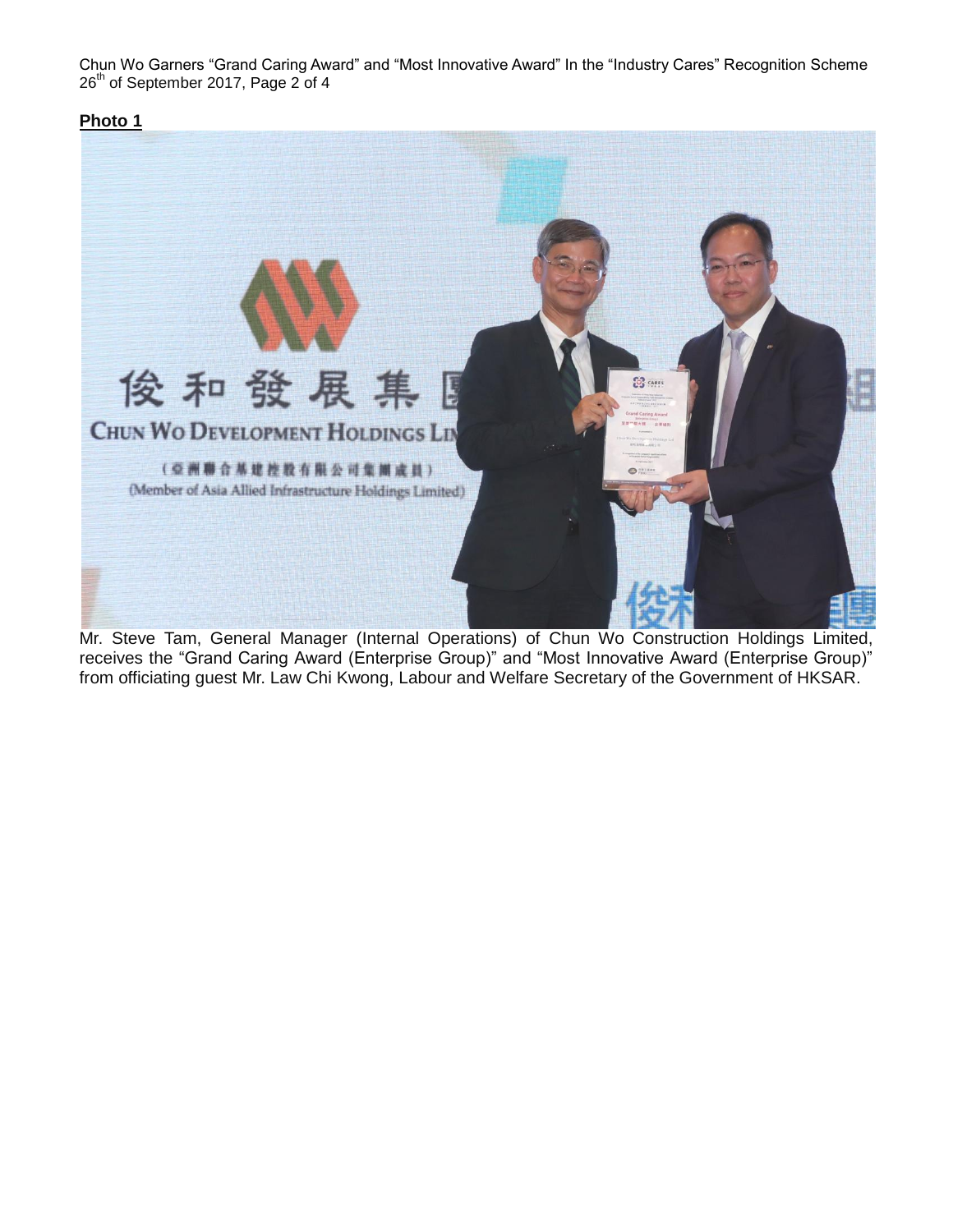Chun Wo Garners "Grand Caring Award" and "Most Innovative Award" In the "Industry Cares" Recognition Scheme 26<sup>th</sup> of September 2017, Page 2 of 4

## **Photo 1**



Mr. Steve Tam, General Manager (Internal Operations) of Chun Wo Construction Holdings Limited, receives the "Grand Caring Award (Enterprise Group)" and "Most Innovative Award (Enterprise Group)" from officiating guest Mr. Law Chi Kwong, Labour and Welfare Secretary of the Government of HKSAR.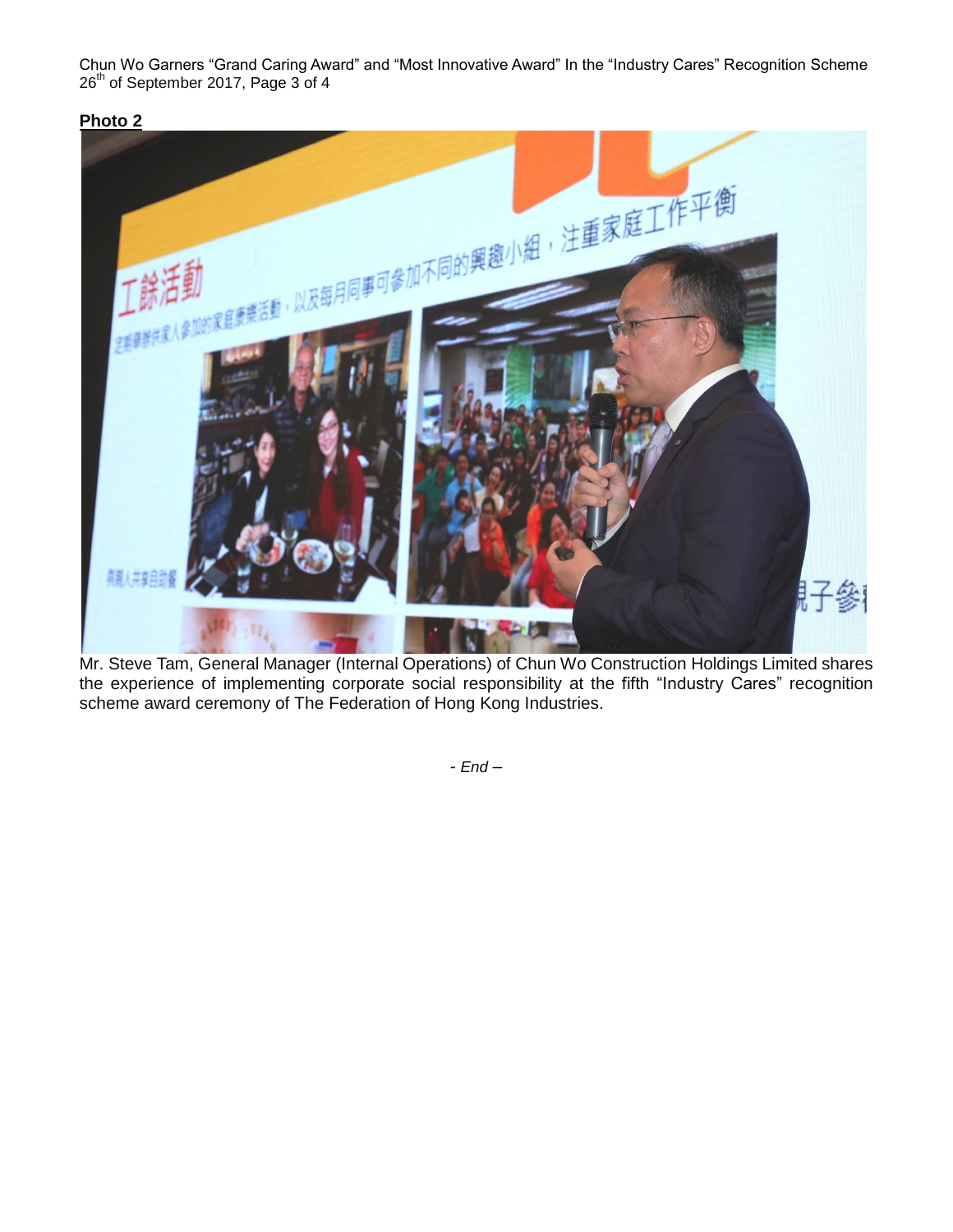Chun Wo Garners "Grand Caring Award" and "Most Innovative Award" In the "Industry Cares" Recognition Scheme 26<sup>th</sup> of September 2017, Page 3 of 4

**Photo 2**



Mr. Steve Tam, General Manager (Internal Operations) of Chun Wo Construction Holdings Limited shares the experience of implementing corporate social responsibility at the fifth "Industry Cares" recognition scheme award ceremony of The Federation of Hong Kong Industries.

*- End –*